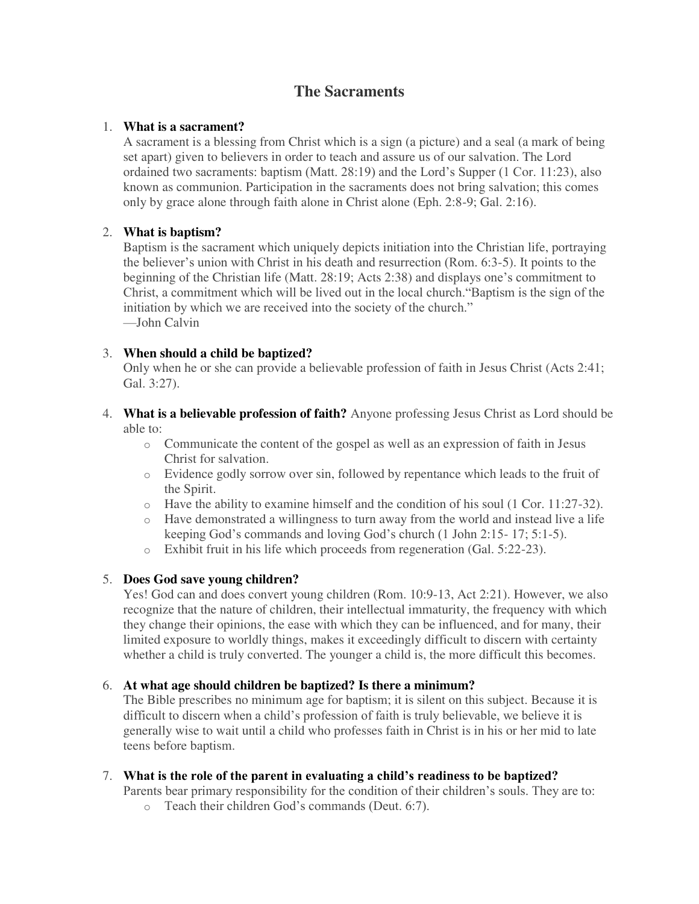# **The Sacraments**

#### 1. **What is a sacrament?**

A sacrament is a blessing from Christ which is a sign (a picture) and a seal (a mark of being set apart) given to believers in order to teach and assure us of our salvation. The Lord ordained two sacraments: baptism (Matt. 28:19) and the Lord's Supper (1 Cor. 11:23), also known as communion. Participation in the sacraments does not bring salvation; this comes only by grace alone through faith alone in Christ alone (Eph. 2:8-9; Gal. 2:16).

## 2. **What is baptism?**

Baptism is the sacrament which uniquely depicts initiation into the Christian life, portraying the believer's union with Christ in his death and resurrection (Rom. 6:3-5). It points to the beginning of the Christian life (Matt. 28:19; Acts 2:38) and displays one's commitment to Christ, a commitment which will be lived out in the local church."Baptism is the sign of the initiation by which we are received into the society of the church." —John Calvin

## 3. **When should a child be baptized?**

Only when he or she can provide a believable profession of faith in Jesus Christ (Acts 2:41; Gal. 3:27).

#### 4. **What is a believable profession of faith?** Anyone professing Jesus Christ as Lord should be able to:

- o Communicate the content of the gospel as well as an expression of faith in Jesus Christ for salvation.
- o Evidence godly sorrow over sin, followed by repentance which leads to the fruit of the Spirit.
- o Have the ability to examine himself and the condition of his soul (1 Cor. 11:27-32).
- $\circ$  Have demonstrated a willingness to turn away from the world and instead live a life keeping God's commands and loving God's church (1 John 2:15- 17; 5:1-5).
- o Exhibit fruit in his life which proceeds from regeneration (Gal. 5:22-23).

#### 5. **Does God save young children?**

Yes! God can and does convert young children (Rom. 10:9-13, Act 2:21). However, we also recognize that the nature of children, their intellectual immaturity, the frequency with which they change their opinions, the ease with which they can be influenced, and for many, their limited exposure to worldly things, makes it exceedingly difficult to discern with certainty whether a child is truly converted. The younger a child is, the more difficult this becomes.

## 6. **At what age should children be baptized? Is there a minimum?**

The Bible prescribes no minimum age for baptism; it is silent on this subject. Because it is difficult to discern when a child's profession of faith is truly believable, we believe it is generally wise to wait until a child who professes faith in Christ is in his or her mid to late teens before baptism.

#### 7. **What is the role of the parent in evaluating a child's readiness to be baptized?**

Parents bear primary responsibility for the condition of their children's souls. They are to:

o Teach their children God's commands (Deut. 6:7).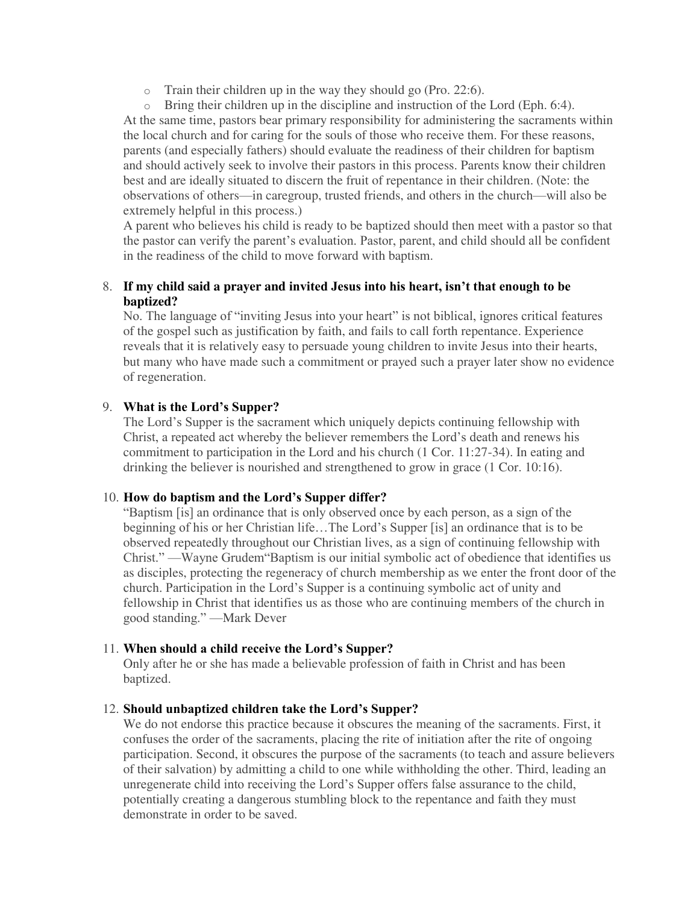o Train their children up in the way they should go (Pro. 22:6).

o Bring their children up in the discipline and instruction of the Lord (Eph. 6:4). At the same time, pastors bear primary responsibility for administering the sacraments within the local church and for caring for the souls of those who receive them. For these reasons, parents (and especially fathers) should evaluate the readiness of their children for baptism and should actively seek to involve their pastors in this process. Parents know their children best and are ideally situated to discern the fruit of repentance in their children. (Note: the observations of others—in caregroup, trusted friends, and others in the church—will also be extremely helpful in this process.)

A parent who believes his child is ready to be baptized should then meet with a pastor so that the pastor can verify the parent's evaluation. Pastor, parent, and child should all be confident in the readiness of the child to move forward with baptism.

### 8. **If my child said a prayer and invited Jesus into his heart, isn't that enough to be baptized?**

No. The language of "inviting Jesus into your heart" is not biblical, ignores critical features of the gospel such as justification by faith, and fails to call forth repentance. Experience reveals that it is relatively easy to persuade young children to invite Jesus into their hearts, but many who have made such a commitment or prayed such a prayer later show no evidence of regeneration.

## 9. **What is the Lord's Supper?**

The Lord's Supper is the sacrament which uniquely depicts continuing fellowship with Christ, a repeated act whereby the believer remembers the Lord's death and renews his commitment to participation in the Lord and his church (1 Cor. 11:27-34). In eating and drinking the believer is nourished and strengthened to grow in grace (1 Cor. 10:16).

#### 10. **How do baptism and the Lord's Supper differ?**

"Baptism [is] an ordinance that is only observed once by each person, as a sign of the beginning of his or her Christian life…The Lord's Supper [is] an ordinance that is to be observed repeatedly throughout our Christian lives, as a sign of continuing fellowship with Christ." —Wayne Grudem"Baptism is our initial symbolic act of obedience that identifies us as disciples, protecting the regeneracy of church membership as we enter the front door of the church. Participation in the Lord's Supper is a continuing symbolic act of unity and fellowship in Christ that identifies us as those who are continuing members of the church in good standing." —Mark Dever

#### 11. **When should a child receive the Lord's Supper?**

Only after he or she has made a believable profession of faith in Christ and has been baptized.

#### 12. **Should unbaptized children take the Lord's Supper?**

We do not endorse this practice because it obscures the meaning of the sacraments. First, it confuses the order of the sacraments, placing the rite of initiation after the rite of ongoing participation. Second, it obscures the purpose of the sacraments (to teach and assure believers of their salvation) by admitting a child to one while withholding the other. Third, leading an unregenerate child into receiving the Lord's Supper offers false assurance to the child, potentially creating a dangerous stumbling block to the repentance and faith they must demonstrate in order to be saved.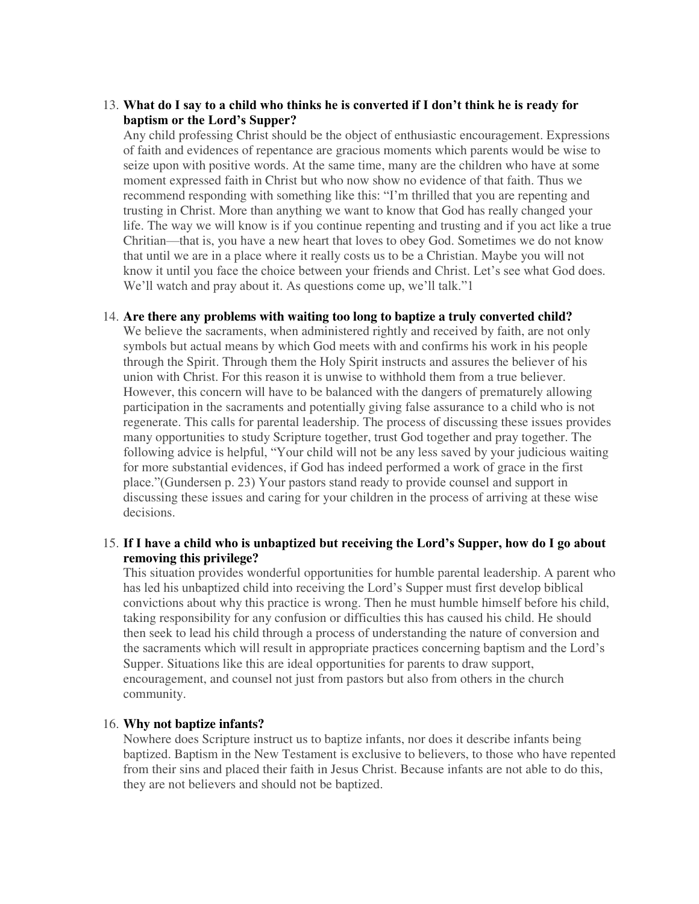#### 13. **What do I say to a child who thinks he is converted if I don't think he is ready for baptism or the Lord's Supper?**

Any child professing Christ should be the object of enthusiastic encouragement. Expressions of faith and evidences of repentance are gracious moments which parents would be wise to seize upon with positive words. At the same time, many are the children who have at some moment expressed faith in Christ but who now show no evidence of that faith. Thus we recommend responding with something like this: "I'm thrilled that you are repenting and trusting in Christ. More than anything we want to know that God has really changed your life. The way we will know is if you continue repenting and trusting and if you act like a true Chritian—that is, you have a new heart that loves to obey God. Sometimes we do not know that until we are in a place where it really costs us to be a Christian. Maybe you will not know it until you face the choice between your friends and Christ. Let's see what God does. We'll watch and pray about it. As questions come up, we'll talk."

#### 14. **Are there any problems with waiting too long to baptize a truly converted child?**

We believe the sacraments, when administered rightly and received by faith, are not only symbols but actual means by which God meets with and confirms his work in his people through the Spirit. Through them the Holy Spirit instructs and assures the believer of his union with Christ. For this reason it is unwise to withhold them from a true believer. However, this concern will have to be balanced with the dangers of prematurely allowing participation in the sacraments and potentially giving false assurance to a child who is not regenerate. This calls for parental leadership. The process of discussing these issues provides many opportunities to study Scripture together, trust God together and pray together. The following advice is helpful, "Your child will not be any less saved by your judicious waiting for more substantial evidences, if God has indeed performed a work of grace in the first place."(Gundersen p. 23) Your pastors stand ready to provide counsel and support in discussing these issues and caring for your children in the process of arriving at these wise decisions.

#### 15. **If I have a child who is unbaptized but receiving the Lord's Supper, how do I go about removing this privilege?**

This situation provides wonderful opportunities for humble parental leadership. A parent who has led his unbaptized child into receiving the Lord's Supper must first develop biblical convictions about why this practice is wrong. Then he must humble himself before his child, taking responsibility for any confusion or difficulties this has caused his child. He should then seek to lead his child through a process of understanding the nature of conversion and the sacraments which will result in appropriate practices concerning baptism and the Lord's Supper. Situations like this are ideal opportunities for parents to draw support, encouragement, and counsel not just from pastors but also from others in the church community.

#### 16. **Why not baptize infants?**

Nowhere does Scripture instruct us to baptize infants, nor does it describe infants being baptized. Baptism in the New Testament is exclusive to believers, to those who have repented from their sins and placed their faith in Jesus Christ. Because infants are not able to do this, they are not believers and should not be baptized.